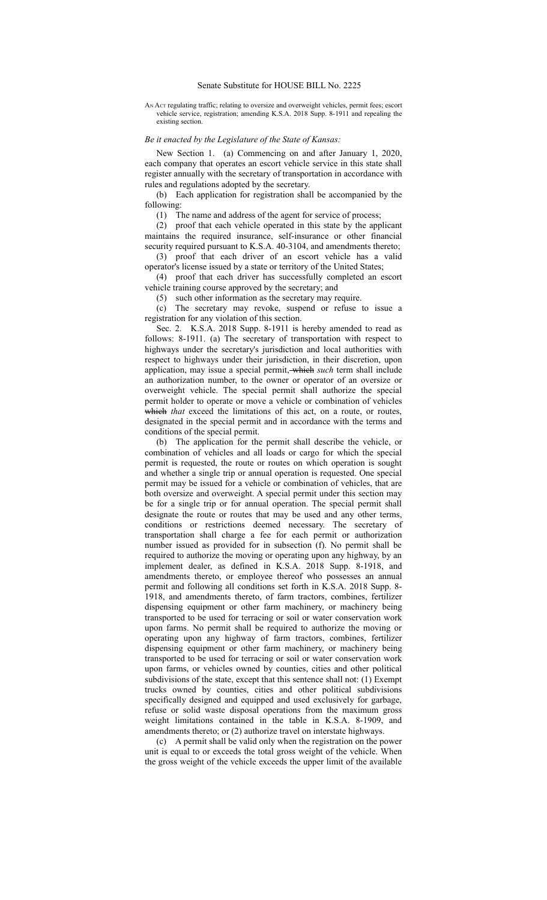## Senate Substitute for HOUSE BILL No. 2225

AN ACT regulating traffic; relating to oversize and overweight vehicles, permit fees; escort vehicle service, registration; amending K.S.A. 2018 Supp. 8-1911 and repealing the existing section.

## *Be it enacted by the Legislature of the State of Kansas:*

New Section 1. (a) Commencing on and after January 1, 2020, each company that operates an escort vehicle service in this state shall register annually with the secretary of transportation in accordance with rules and regulations adopted by the secretary.

(b) Each application for registration shall be accompanied by the following:

(1) The name and address of the agent for service of process;

(2) proof that each vehicle operated in this state by the applicant maintains the required insurance, self-insurance or other financial security required pursuant to K.S.A. 40-3104, and amendments thereto;

(3) proof that each driver of an escort vehicle has a valid operator's license issued by a state or territory of the United States;

(4) proof that each driver has successfully completed an escort vehicle training course approved by the secretary; and

(5) such other information as the secretary may require.

(c) The secretary may revoke, suspend or refuse to issue a registration for any violation of this section.

Sec. 2. K.S.A. 2018 Supp. 8-1911 is hereby amended to read as follows: 8-1911. (a) The secretary of transportation with respect to highways under the secretary's jurisdiction and local authorities with respect to highways under their jurisdiction, in their discretion, upon application, may issue a special permit, which *such* term shall include an authorization number, to the owner or operator of an oversize or overweight vehicle. The special permit shall authorize the special permit holder to operate or move a vehicle or combination of vehicles which *that* exceed the limitations of this act, on a route, or routes, designated in the special permit and in accordance with the terms and conditions of the special permit.

(b) The application for the permit shall describe the vehicle, or combination of vehicles and all loads or cargo for which the special permit is requested, the route or routes on which operation is sought and whether a single trip or annual operation is requested. One special permit may be issued for a vehicle or combination of vehicles, that are both oversize and overweight. A special permit under this section may be for a single trip or for annual operation. The special permit shall designate the route or routes that may be used and any other terms, conditions or restrictions deemed necessary. The secretary of transportation shall charge a fee for each permit or authorization number issued as provided for in subsection (f). No permit shall be required to authorize the moving or operating upon any highway, by an implement dealer, as defined in K.S.A. 2018 Supp. 8-1918, and amendments thereto, or employee thereof who possesses an annual permit and following all conditions set forth in K.S.A. 2018 Supp. 8- 1918, and amendments thereto, of farm tractors, combines, fertilizer dispensing equipment or other farm machinery, or machinery being transported to be used for terracing or soil or water conservation work upon farms. No permit shall be required to authorize the moving or operating upon any highway of farm tractors, combines, fertilizer dispensing equipment or other farm machinery, or machinery being transported to be used for terracing or soil or water conservation work upon farms, or vehicles owned by counties, cities and other political subdivisions of the state, except that this sentence shall not: (1) Exempt trucks owned by counties, cities and other political subdivisions specifically designed and equipped and used exclusively for garbage, refuse or solid waste disposal operations from the maximum gross weight limitations contained in the table in K.S.A. 8-1909, and amendments thereto; or (2) authorize travel on interstate highways.

(c) A permit shall be valid only when the registration on the power unit is equal to or exceeds the total gross weight of the vehicle. When the gross weight of the vehicle exceeds the upper limit of the available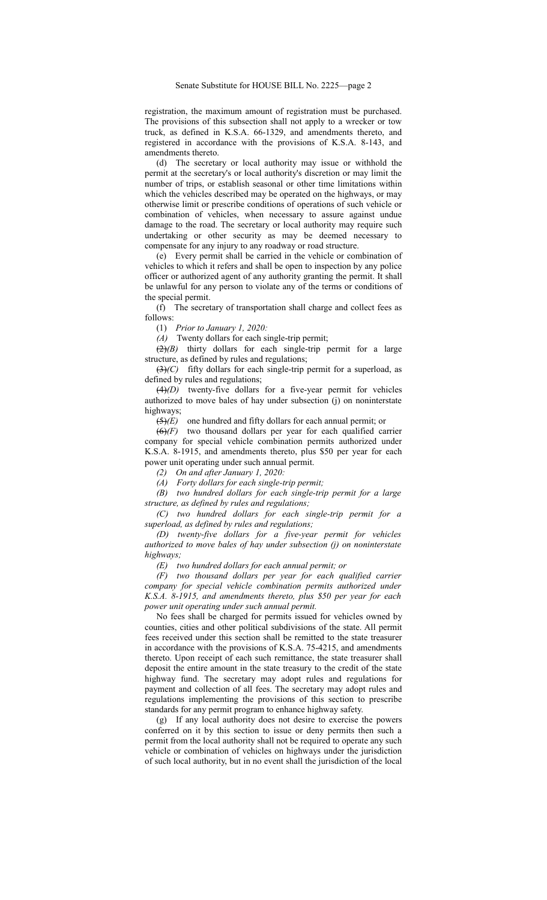registration, the maximum amount of registration must be purchased. The provisions of this subsection shall not apply to a wrecker or tow truck, as defined in K.S.A. 66-1329, and amendments thereto, and registered in accordance with the provisions of K.S.A. 8-143, and amendments thereto.

(d) The secretary or local authority may issue or withhold the permit at the secretary's or local authority's discretion or may limit the number of trips, or establish seasonal or other time limitations within which the vehicles described may be operated on the highways, or may otherwise limit or prescribe conditions of operations of such vehicle or combination of vehicles, when necessary to assure against undue damage to the road. The secretary or local authority may require such undertaking or other security as may be deemed necessary to compensate for any injury to any roadway or road structure.

(e) Every permit shall be carried in the vehicle or combination of vehicles to which it refers and shall be open to inspection by any police officer or authorized agent of any authority granting the permit. It shall be unlawful for any person to violate any of the terms or conditions of the special permit.

(f) The secretary of transportation shall charge and collect fees as follows:

(1) *Prior to January 1, 2020:*

*(A)* Twenty dollars for each single-trip permit;

(2)*(B)* thirty dollars for each single-trip permit for a large structure, as defined by rules and regulations;

 $(3)(C)$  fifty dollars for each single-trip permit for a superload, as defined by rules and regulations;

(4)*(D)* twenty-five dollars for a five-year permit for vehicles authorized to move bales of hay under subsection (j) on noninterstate highways;

(5)*(E)* one hundred and fifty dollars for each annual permit; or

(6)*(F)* two thousand dollars per year for each qualified carrier company for special vehicle combination permits authorized under K.S.A. 8-1915, and amendments thereto, plus \$50 per year for each power unit operating under such annual permit.

*(2) On and after January 1, 2020:*

*(A) Forty dollars for each single-trip permit;*

*(B) two hundred dollars for each single-trip permit for a large structure, as defined by rules and regulations;*

*(C) two hundred dollars for each single-trip permit for a superload, as defined by rules and regulations;*

*(D) twenty-five dollars for a five-year permit for vehicles authorized to move bales of hay under subsection (j) on noninterstate highways;*

*(E) two hundred dollars for each annual permit; or*

*(F) two thousand dollars per year for each qualified carrier company for special vehicle combination permits authorized under K.S.A. 8-1915, and amendments thereto, plus \$50 per year for each power unit operating under such annual permit.*

No fees shall be charged for permits issued for vehicles owned by counties, cities and other political subdivisions of the state. All permit fees received under this section shall be remitted to the state treasurer in accordance with the provisions of K.S.A. 75-4215, and amendments thereto. Upon receipt of each such remittance, the state treasurer shall deposit the entire amount in the state treasury to the credit of the state highway fund. The secretary may adopt rules and regulations for payment and collection of all fees. The secretary may adopt rules and regulations implementing the provisions of this section to prescribe standards for any permit program to enhance highway safety.

(g) If any local authority does not desire to exercise the powers conferred on it by this section to issue or deny permits then such a permit from the local authority shall not be required to operate any such vehicle or combination of vehicles on highways under the jurisdiction of such local authority, but in no event shall the jurisdiction of the local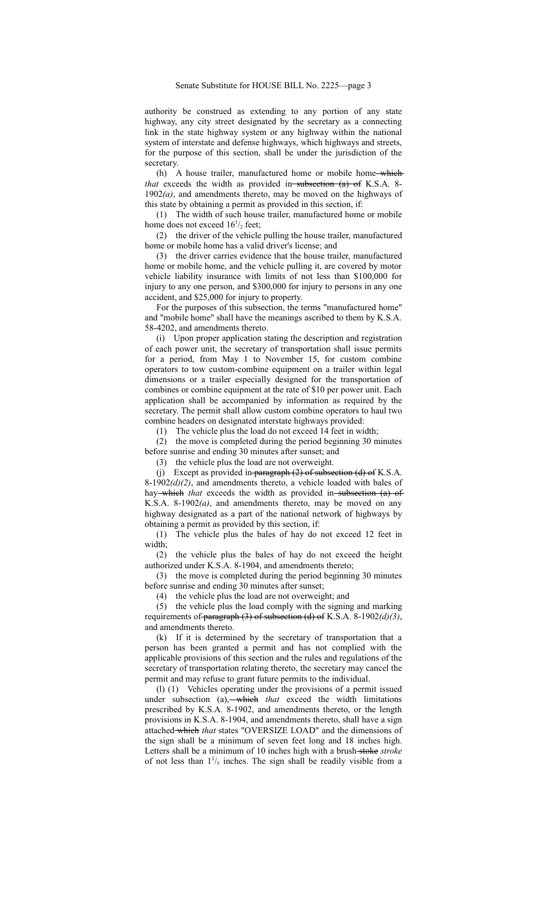authority be construed as extending to any portion of any state highway, any city street designated by the secretary as a connecting link in the state highway system or any highway within the national system of interstate and defense highways, which highways and streets, for the purpose of this section, shall be under the jurisdiction of the secretary.

(h) A house trailer, manufactured home or mobile home-which*that* exceeds the width as provided in-subsection (a) of K.S.A. 8-1902*(a)*, and amendments thereto, may be moved on the highways of this state by obtaining a permit as provided in this section, if:

(1) The width of such house trailer, manufactured home or mobile home does not exceed  $16^{1/2}$  feet;

(2) the driver of the vehicle pulling the house trailer, manufactured home or mobile home has a valid driver's license; and

(3) the driver carries evidence that the house trailer, manufactured home or mobile home, and the vehicle pulling it, are covered by motor vehicle liability insurance with limits of not less than \$100,000 for injury to any one person, and \$300,000 for injury to persons in any one accident, and \$25,000 for injury to property.

For the purposes of this subsection, the terms "manufactured home" and "mobile home" shall have the meanings ascribed to them by K.S.A. 58-4202, and amendments thereto.

(i) Upon proper application stating the description and registration of each power unit, the secretary of transportation shall issue permits for a period, from May 1 to November 15, for custom combine operators to tow custom-combine equipment on a trailer within legal dimensions or a trailer especially designed for the transportation of combines or combine equipment at the rate of \$10 per power unit. Each application shall be accompanied by information as required by the secretary. The permit shall allow custom combine operators to haul two combine headers on designated interstate highways provided:

(1) The vehicle plus the load do not exceed 14 feet in width;

(2) the move is completed during the period beginning 30 minutes before sunrise and ending 30 minutes after sunset; and

(3) the vehicle plus the load are not overweight.

(j) Except as provided in-paragraph  $(2)$  of subsection  $(d)$  of K.S.A. 8-1902*(d)(2)*, and amendments thereto, a vehicle loaded with bales of hay which *that* exceeds the width as provided in subsection (a) of K.S.A. 8-1902*(a)*, and amendments thereto, may be moved on any highway designated as a part of the national network of highways by obtaining a permit as provided by this section, if:

(1) The vehicle plus the bales of hay do not exceed 12 feet in width;

(2) the vehicle plus the bales of hay do not exceed the height authorized under K.S.A. 8-1904, and amendments thereto;

(3) the move is completed during the period beginning 30 minutes before sunrise and ending 30 minutes after sunset;

(4) the vehicle plus the load are not overweight; and

(5) the vehicle plus the load comply with the signing and marking requirements of paragraph (3) of subsection (d) of K.S.A. 8-1902*(d)(3)*, and amendments thereto.

(k) If it is determined by the secretary of transportation that a person has been granted a permit and has not complied with the applicable provisions of this section and the rules and regulations of the secretary of transportation relating thereto, the secretary may cancel the permit and may refuse to grant future permits to the individual.

(l) (1) Vehicles operating under the provisions of a permit issued under subsection (a), which *that* exceed the width limitations prescribed by K.S.A. 8-1902, and amendments thereto, or the length provisions in K.S.A. 8-1904, and amendments thereto, shall have a sign attached which *that* states "OVERSIZE LOAD" and the dimensions of the sign shall be a minimum of seven feet long and 18 inches high. Letters shall be a minimum of 10 inches high with a brush stoke *stroke* of not less than  $1\frac{2}{5}$  inches. The sign shall be readily visible from a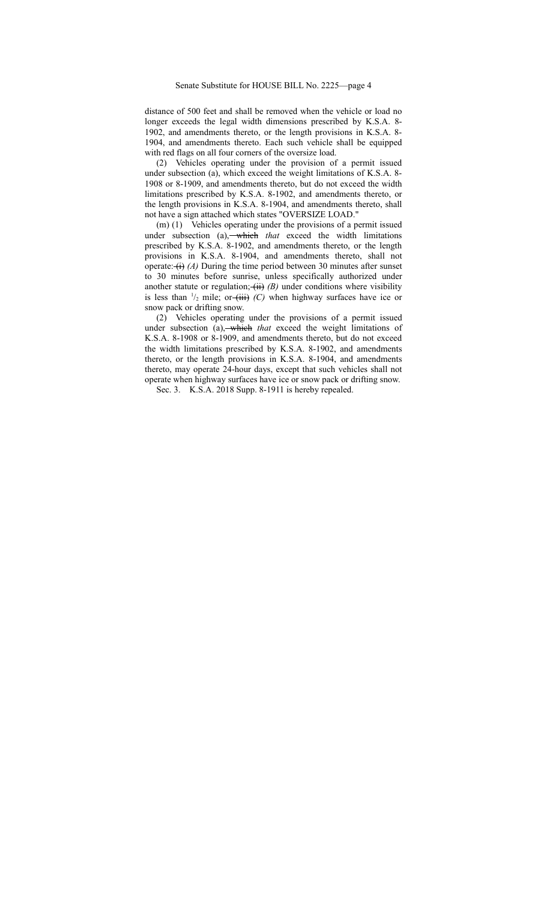distance of 500 feet and shall be removed when the vehicle or load no longer exceeds the legal width dimensions prescribed by K.S.A. 8- 1902, and amendments thereto, or the length provisions in K.S.A. 8- 1904, and amendments thereto. Each such vehicle shall be equipped with red flags on all four corners of the oversize load.

(2) Vehicles operating under the provision of a permit issued under subsection (a), which exceed the weight limitations of K.S.A. 8- 1908 or 8-1909, and amendments thereto, but do not exceed the width limitations prescribed by K.S.A. 8-1902, and amendments thereto, or the length provisions in K.S.A. 8-1904, and amendments thereto, shall not have a sign attached which states "OVERSIZE LOAD."

(m) (1) Vehicles operating under the provisions of a permit issued under subsection (a), which that exceed the width limitations prescribed by K.S.A. 8-1902, and amendments thereto, or the length provisions in K.S.A. 8-1904, and amendments thereto, shall not operate:  $(i)$  *(A)* During the time period between 30 minutes after sunset to 30 minutes before sunrise, unless specifically authorized under another statute or regulation;  $\overline{(ii)}$  *(B)* under conditions where visibility is less than  $\frac{1}{2}$  mile; or  $\left(\frac{1}{11}\right)$  *(C)* when highway surfaces have ice or snow pack or drifting snow.

(2) Vehicles operating under the provisions of a permit issued under subsection (a), which *that* exceed the weight limitations of K.S.A. 8-1908 or 8-1909, and amendments thereto, but do not exceed the width limitations prescribed by K.S.A. 8-1902, and amendments thereto, or the length provisions in K.S.A. 8-1904, and amendments thereto, may operate 24-hour days, except that such vehicles shall not operate when highway surfaces have ice or snow pack or drifting snow.

Sec. 3. K.S.A. 2018 Supp. 8-1911 is hereby repealed.